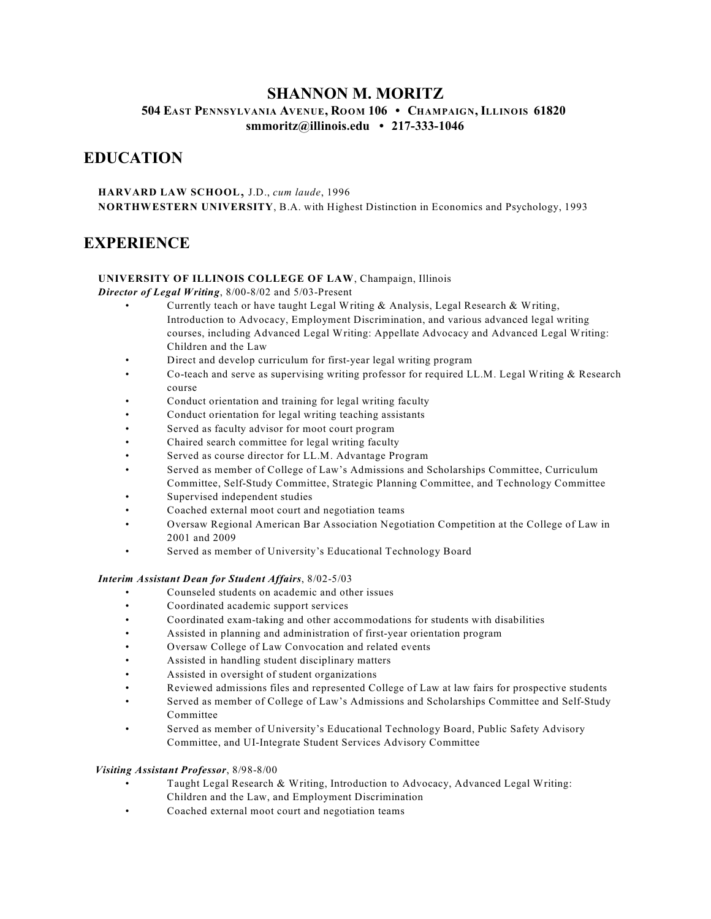### **SHANNON M. MORITZ**

**504 EAST PENNSYLVANIA AVENUE, ROOM 106 • CHAMPAIGN, ILLINOIS 61820 [smmoritz@illinois.edu](mailto:smmoritz@illinois.edu) • 217-333-1046**

## **EDUCATION**

**HARVARD LAW SCHOOL**, J.D., *cum laude*, <sup>1996</sup> **NORTHWESTERN UNIVERSITY**, B.A. with Highest Distinction in Economics and Psychology, 1993

### **EXPERIENCE**

#### **UNIVERSITY OF ILLINOIS COLLEGE OF LAW**, Champaign, Illinois

*Director of Legal Writing*, 8/00-8/02 and 5/03-Present

- Currently teach or have taught Legal Writing & Analysis, Legal Research & Writing, Introduction to Advocacy, Employment Discrimination, and various advanced legal writing courses, including Advanced Legal Writing: Appellate Advocacy and Advanced Legal Writing: Children and the Law
- Direct and develop curriculum for first-year legal writing program
- Co-teach and serve as supervising writing professor for required LL.M. Legal Writing & Research course
- Conduct orientation and training for legal writing faculty
- Conduct orientation for legal writing teaching assistants
- Served as faculty advisor for moot court program
- Chaired search committee for legal writing faculty
- Served as course director for LL.M. Advantage Program
- Served as member of College of Law's Admissions and Scholarships Committee, Curriculum Committee, Self-Study Committee, Strategic Planning Committee, and Technology Committee
- Supervised independent studies
- Coached external moot court and negotiation teams
- Oversaw Regional American Bar Association Negotiation Competition at the College of Law in 2001 and 2009
- Served as member of University's Educational Technology Board

#### *Interim Assistant Dean for Student Affairs*, 8/02-5/03

- Counseled students on academic and other issues
- Coordinated academic support services
- Coordinated exam-taking and other accommodations for students with disabilities
- Assisted in planning and administration of first-year orientation program
- Oversaw College of Law Convocation and related events
- Assisted in handling student disciplinary matters
- Assisted in oversight of student organizations
- Reviewed admissions files and represented College of Law at law fairs for prospective students
- Served as member of College of Law's Admissions and Scholarships Committee and Self-Study Committee
- Served as member of University's Educational Technology Board, Public Safety Advisory Committee, and UI-Integrate Student Services Advisory Committee

#### *Visiting Assistant Professor*, 8/98-8/00

- Taught Legal Research & Writing, Introduction to Advocacy, Advanced Legal Writing: Children and the Law, and Employment Discrimination
- Coached external moot court and negotiation teams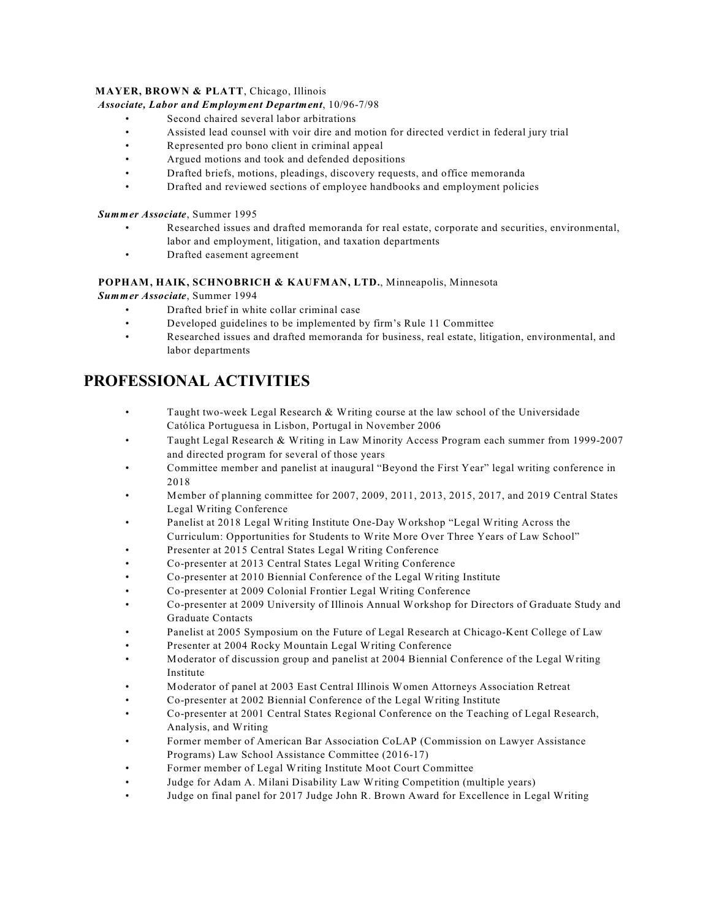#### **MAYER, BROWN & PLATT**, Chicago, Illinois

#### *Associate, Labor and Employment Department*, 10/96-7/98

- Second chaired several labor arbitrations
- Assisted lead counsel with voir dire and motion for directed verdict in federal jury trial
- Represented pro bono client in criminal appeal
- Argued motions and took and defended depositions
- Drafted briefs, motions, pleadings, discovery requests, and office memoranda
- Drafted and reviewed sections of employee handbooks and employment policies

#### *Summer Associate*, Summer 1995

- Researched issues and drafted memoranda for real estate, corporate and securities, environmental, labor and employment, litigation, and taxation departments
- Drafted easement agreement

#### **POPHAM, HAIK, SCHNOBRICH & KAUFMAN, LTD.**, Minneapolis, Minnesota

*Summer Associate*, Summer 1994

- Drafted brief in white collar criminal case
- Developed guidelines to be implemented by firm's Rule 11 Committee
- Researched issues and drafted memoranda for business, real estate, litigation, environmental, and labor departments

## **PROFESSIONAL ACTIVITIES**

- Taught two-week Legal Research & Writing course at the law school of the Universidade Católica Portuguesa in Lisbon, Portugal in November 2006
- Taught Legal Research & Writing in Law Minority Access Program each summer from 1999-2007 and directed program for several of those years
- Committee member and panelist at inaugural "Beyond the First Year" legal writing conference in 2018
- Member of planning committee for 2007, 2009, 2011, 2013, 2015, 2017, and 2019 Central States Legal Writing Conference
- Panelist at 2018 Legal Writing Institute One-Day Workshop "Legal Writing Across the Curriculum: Opportunities for Students to Write More Over Three Years of Law School"
- Presenter at 2015 Central States Legal Writing Conference
- Co-presenter at 2013 Central States Legal Writing Conference
- Co-presenter at 2010 Biennial Conference of the Legal Writing Institute
- Co-presenter at 2009 Colonial Frontier Legal Writing Conference
- Co-presenter at 2009 University of Illinois Annual Workshop for Directors of Graduate Study and Graduate Contacts
- Panelist at 2005 Symposium on the Future of Legal Research at Chicago-Kent College of Law
- Presenter at 2004 Rocky Mountain Legal Writing Conference
- Moderator of discussion group and panelist at 2004 Biennial Conference of the Legal Writing Institute
- Moderator of panel at 2003 East Central Illinois Women Attorneys Association Retreat
- Co-presenter at 2002 Biennial Conference of the Legal Writing Institute
- Co-presenter at 2001 Central States Regional Conference on the Teaching of Legal Research, Analysis, and Writing
- Former member of American Bar Association CoLAP (Commission on Lawyer Assistance Programs) Law School Assistance Committee (2016-17)
- Former member of Legal Writing Institute Moot Court Committee
- Judge for Adam A. Milani Disability Law Writing Competition (multiple years)
- Judge on final panel for 2017 Judge John R. Brown Award for Excellence in Legal Writing